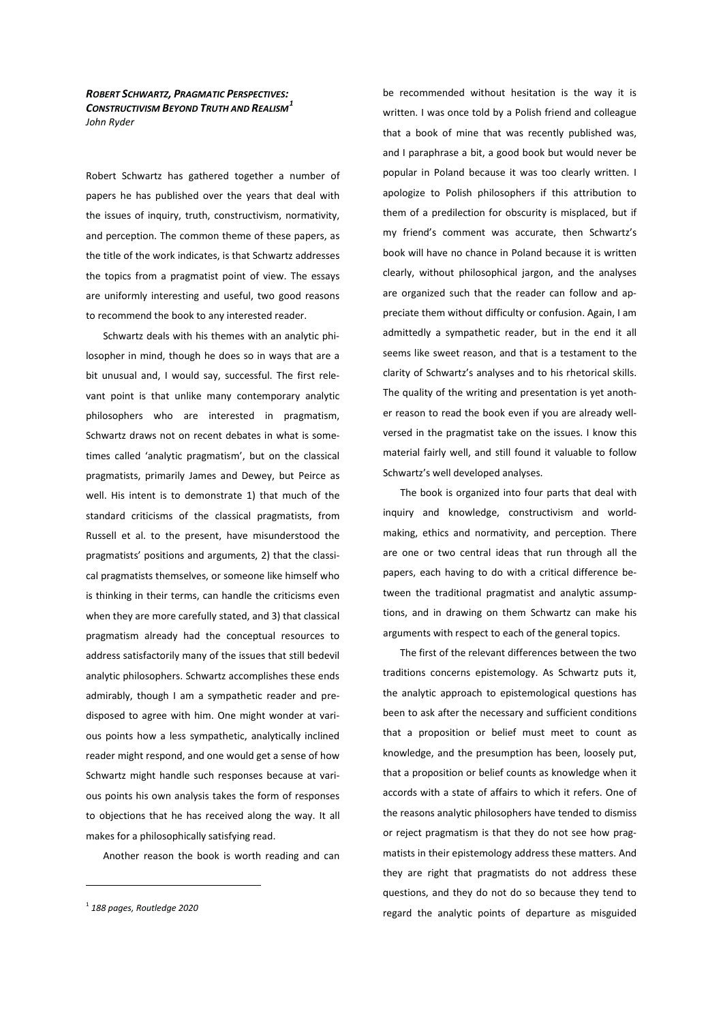*ROBERT SCHWARTZ, PRAGMATIC PERSPECTIVES: CONSTRUCTIVISM BEYOND TRUTH AND REALISM<sup>1</sup> John Ryder* 

Robert Schwartz has gathered together a number of papers he has published over the years that deal with the issues of inquiry, truth, constructivism, normativity, and perception. The common theme of these papers, as the title of the work indicates, is that Schwartz addresses the topics from a pragmatist point of view. The essays are uniformly interesting and useful, two good reasons to recommend the book to any interested reader.

Schwartz deals with his themes with an analytic philosopher in mind, though he does so in ways that are a bit unusual and, I would say, successful. The first relevant point is that unlike many contemporary analytic philosophers who are interested in pragmatism, Schwartz draws not on recent debates in what is sometimes called 'analytic pragmatism', but on the classical pragmatists, primarily James and Dewey, but Peirce as well. His intent is to demonstrate 1) that much of the standard criticisms of the classical pragmatists, from Russell et al. to the present, have misunderstood the pragmatists' positions and arguments, 2) that the classical pragmatists themselves, or someone like himself who is thinking in their terms, can handle the criticisms even when they are more carefully stated, and 3) that classical pragmatism already had the conceptual resources to address satisfactorily many of the issues that still bedevil analytic philosophers. Schwartz accomplishes these ends admirably, though I am a sympathetic reader and predisposed to agree with him. One might wonder at various points how a less sympathetic, analytically inclined reader might respond, and one would get a sense of how Schwartz might handle such responses because at various points his own analysis takes the form of responses to objections that he has received along the way. It all makes for a philosophically satisfying read.

Another reason the book is worth reading and can

be recommended without hesitation is the way it is written. I was once told by a Polish friend and colleague that a book of mine that was recently published was, and I paraphrase a bit, a good book but would never be popular in Poland because it was too clearly written. I apologize to Polish philosophers if this attribution to them of a predilection for obscurity is misplaced, but if my friend's comment was accurate, then Schwartz's book will have no chance in Poland because it is written clearly, without philosophical jargon, and the analyses are organized such that the reader can follow and appreciate them without difficulty or confusion. Again, I am admittedly a sympathetic reader, but in the end it all seems like sweet reason, and that is a testament to the clarity of Schwartz's analyses and to his rhetorical skills. The quality of the writing and presentation is yet another reason to read the book even if you are already wellversed in the pragmatist take on the issues. I know this material fairly well, and still found it valuable to follow Schwartz's well developed analyses.

The book is organized into four parts that deal with inquiry and knowledge, constructivism and worldmaking, ethics and normativity, and perception. There are one or two central ideas that run through all the papers, each having to do with a critical difference between the traditional pragmatist and analytic assumptions, and in drawing on them Schwartz can make his arguments with respect to each of the general topics.

The first of the relevant differences between the two traditions concerns epistemology. As Schwartz puts it, the analytic approach to epistemological questions has been to ask after the necessary and sufficient conditions that a proposition or belief must meet to count as knowledge, and the presumption has been, loosely put, that a proposition or belief counts as knowledge when it accords with a state of affairs to which it refers. One of the reasons analytic philosophers have tended to dismiss or reject pragmatism is that they do not see how pragmatists in their epistemology address these matters. And they are right that pragmatists do not address these questions, and they do not do so because they tend to regard the analytic points of departure as misguided

<sup>1</sup> *188 pages, Routledge 2020*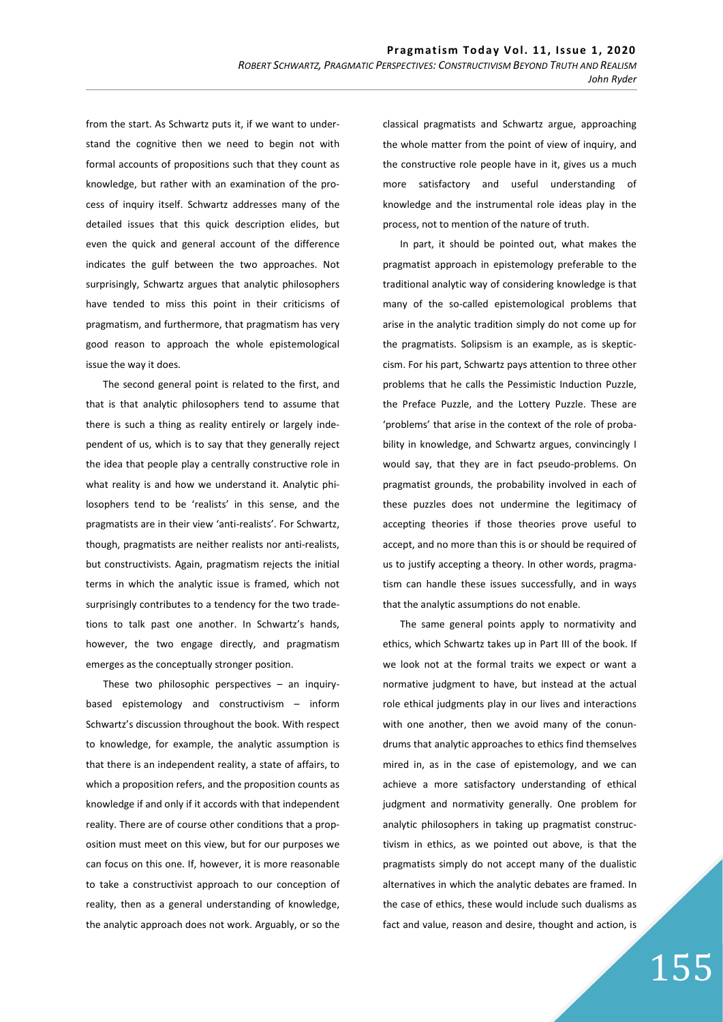from the start. As Schwartz puts it, if we want to understand the cognitive then we need to begin not with formal accounts of propositions such that they count as knowledge, but rather with an examination of the process of inquiry itself. Schwartz addresses many of the detailed issues that this quick description elides, but even the quick and general account of the difference indicates the gulf between the two approaches. Not surprisingly, Schwartz argues that analytic philosophers have tended to miss this point in their criticisms of pragmatism, and furthermore, that pragmatism has very good reason to approach the whole epistemological issue the way it does.

The second general point is related to the first, and that is that analytic philosophers tend to assume that there is such a thing as reality entirely or largely independent of us, which is to say that they generally reject the idea that people play a centrally constructive role in what reality is and how we understand it. Analytic philosophers tend to be 'realists' in this sense, and the pragmatists are in their view 'anti-realists'. For Schwartz, though, pragmatists are neither realists nor anti-realists, but constructivists. Again, pragmatism rejects the initial terms in which the analytic issue is framed, which not surprisingly contributes to a tendency for the two tradetions to talk past one another. In Schwartz's hands, however, the two engage directly, and pragmatism emerges as the conceptually stronger position.

These two philosophic perspectives – an inquirybased epistemology and constructivism – inform Schwartz's discussion throughout the book. With respect to knowledge, for example, the analytic assumption is that there is an independent reality, a state of affairs, to which a proposition refers, and the proposition counts as knowledge if and only if it accords with that independent reality. There are of course other conditions that a proposition must meet on this view, but for our purposes we can focus on this one. If, however, it is more reasonable to take a constructivist approach to our conception of reality, then as a general understanding of knowledge, the analytic approach does not work. Arguably, or so the

classical pragmatists and Schwartz argue, approaching the whole matter from the point of view of inquiry, and the constructive role people have in it, gives us a much more satisfactory and useful understanding of knowledge and the instrumental role ideas play in the process, not to mention of the nature of truth.

In part, it should be pointed out, what makes the pragmatist approach in epistemology preferable to the traditional analytic way of considering knowledge is that many of the so-called epistemological problems that arise in the analytic tradition simply do not come up for the pragmatists. Solipsism is an example, as is skepticcism. For his part, Schwartz pays attention to three other problems that he calls the Pessimistic Induction Puzzle, the Preface Puzzle, and the Lottery Puzzle. These are 'problems' that arise in the context of the role of probability in knowledge, and Schwartz argues, convincingly I would say, that they are in fact pseudo-problems. On pragmatist grounds, the probability involved in each of these puzzles does not undermine the legitimacy of accepting theories if those theories prove useful to accept, and no more than this is or should be required of us to justify accepting a theory. In other words, pragmatism can handle these issues successfully, and in ways that the analytic assumptions do not enable.

The same general points apply to normativity and ethics, which Schwartz takes up in Part III of the book. If we look not at the formal traits we expect or want a normative judgment to have, but instead at the actual role ethical judgments play in our lives and interactions with one another, then we avoid many of the conundrums that analytic approaches to ethics find themselves mired in, as in the case of epistemology, and we can achieve a more satisfactory understanding of ethical judgment and normativity generally. One problem for analytic philosophers in taking up pragmatist constructivism in ethics, as we pointed out above, is that the pragmatists simply do not accept many of the dualistic alternatives in which the analytic debates are framed. In the case of ethics, these would include such dualisms as fact and value, reason and desire, thought and action, is